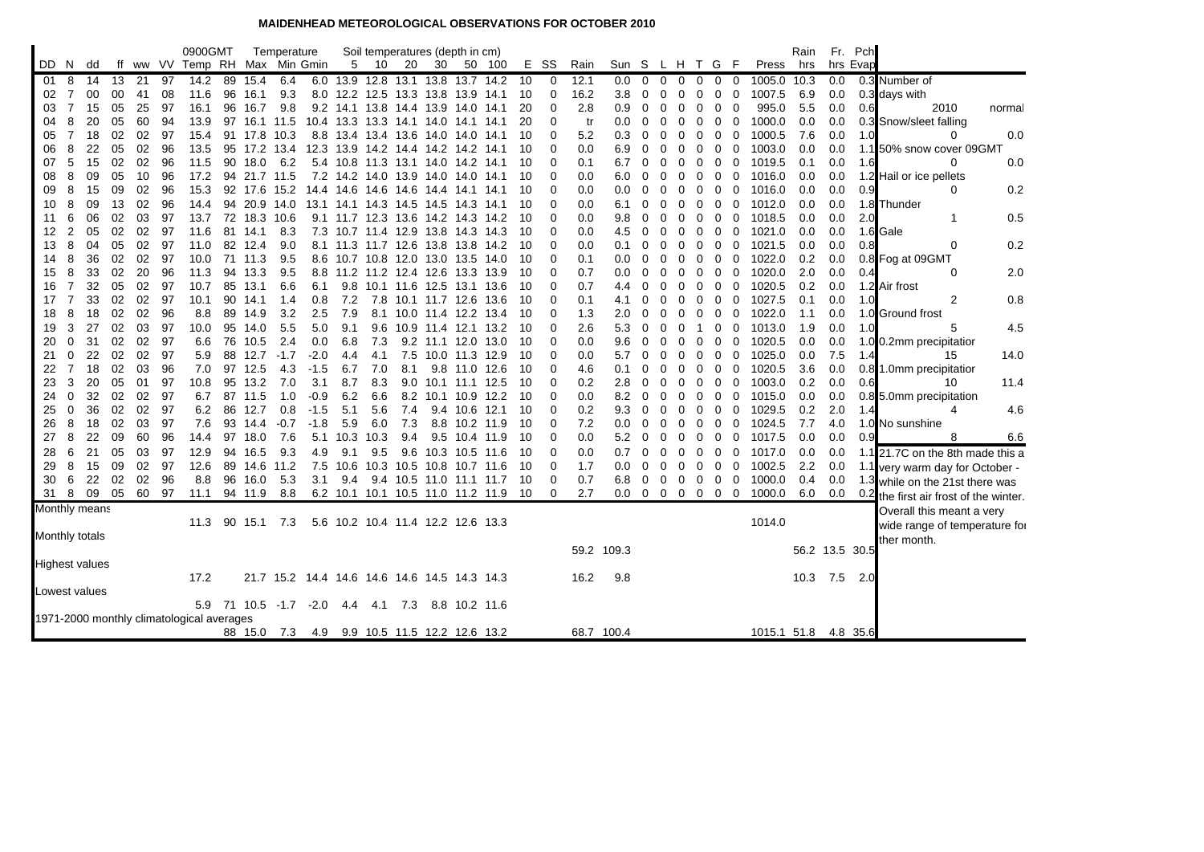## **MAIDENHEAD METEOROLOGICAL OBSERVATIONS FOR OCTOBER 2010**

|                                                                                          |                |          |          |          |          | 0900GMT                                   |    |                    | Temperature                                  |                                    |               |      | Soil temperatures (depth in cm)   |    |      |                                   |           |               |            |            |               |          |                |                |                                  |                  | Rain       |            | Fr. Pch  |                                          |        |
|------------------------------------------------------------------------------------------|----------------|----------|----------|----------|----------|-------------------------------------------|----|--------------------|----------------------------------------------|------------------------------------|---------------|------|-----------------------------------|----|------|-----------------------------------|-----------|---------------|------------|------------|---------------|----------|----------------|----------------|----------------------------------|------------------|------------|------------|----------|------------------------------------------|--------|
| DD N                                                                                     |                | dd       |          |          |          | ff ww VV Temp RH Max Min Gmin             |    |                    |                                              |                                    | 5             | - 10 | 20                                | 30 | 50   | 100                               |           | E SS          | Rain       | Sun S      |               |          |                |                | L H T G F                        | Press            | hrs        |            | hrs Evap |                                          |        |
| 01                                                                                       | 8              | - 14     | 13       | 21       | 97       | 14.2                                      |    | 89 15.4            | 6.4                                          |                                    |               |      |                                   |    |      | 6.0 13.9 12.8 13.1 13.8 13.7 14.2 | 10        | 0             | 12.1       | 0.0        | $\Omega$      | $\Omega$ | $\Omega$       | $\Omega$       | $\mathbf 0$<br>$\Omega$          | 1005.0 10.3      |            | 0.0        |          | 0.3 Number of                            |        |
| 02                                                                                       | 7              | 00       | 00       | 41       | 08       | 11.6                                      |    | 96 16.1            | 9.3                                          |                                    |               |      | 8.0 12.2 12.5 13.3 13.8 13.9 14.1 |    |      |                                   | 10        | $\mathbf 0$   | 16.2       | 3.8        | 0             | 0        | 0              | 0              | $\mathbf{0}$<br>$\mathbf 0$      | 1007.5           | 6.9        | 0.0        |          | 0.3 days with                            |        |
| 03                                                                                       |                | 15       | 05       | 25       | 97       | 16.1                                      |    | 96 16.7            | 9.8                                          |                                    |               |      | 9.2 14.1 13.8 14.4 13.9 14.0 14.1 |    |      |                                   | 20        | $\Omega$      | 2.8        | 0.9        | $\Omega$      | $\Omega$ | $\Omega$       | 0              | 0<br>0                           | 995.0            | 5.5        | 0.0        | 0.6      | 2010                                     | normal |
| 04                                                                                       | 8              | 20       | 05       | 60       | 94       | 13.9                                      | 97 |                    | 16.1 11.5 10.4 13.3 13.3 14.1 14.0           |                                    |               |      |                                   |    |      | 14.1 14.1                         | 20        | $\Omega$      | tr         | 0.0        | $\Omega$      | $\Omega$ | 0              | 0              | 0<br>$\mathbf 0$                 | 1000.0           | 0.0        | 0.0        |          | 0.3 Snow/sleet falling                   |        |
| 05                                                                                       | $\overline{7}$ | 18       | 02       | 02       | 97       | 15.4                                      |    | 91 17.8 10.3       |                                              |                                    |               |      | 8.8 13.4 13.4 13.6 14.0           |    | 14.0 | 14.1                              | 10        | $\Omega$      | 5.2        | 0.3        | $\Omega$      | $\Omega$ | $\Omega$       | 0              | $\mathbf 0$<br>$\Omega$          | 1000.5           | 7.6        | 0.0        | 1.0      | 0                                        | 0.0    |
| 06                                                                                       | 8              | 22       | 05       | 02       | 96       | 13.5                                      |    |                    | 95 17.2 13.4                                 | 12.3 13.9 14.2 14.4 14.2 14.2 14.1 |               |      |                                   |    |      |                                   | 10        | $\Omega$      | 0.0        | 6.9        | ∩             |          | $\Omega$       | 0              | 0<br>$\mathbf 0$                 | 1003.0           | 0.0        | 0.0        |          | 1.1 50% snow cover 09GMT                 |        |
| 07                                                                                       | 5              | 15       | 02       | 02       | 96       | 11.5                                      | 90 | 18.0               | 6.2                                          |                                    |               |      | 5.4 10.8 11.3 13.1 14.0 14.2      |    |      | 14.1                              | 10        | $\Omega$      | 0.1        | 6.7        | 0             |          | 0              | 0              | 0<br>$\mathbf 0$                 | 1019.5           | 0.1        | 0.0        | 1.6      | 0                                        | 0.0    |
| 08                                                                                       | 8              | 09       | 05       | 10       | 96       | 17.2                                      | 94 |                    | 21.7 11.5                                    |                                    |               |      | 7.2 14.2 14.0 13.9 14.0           |    | 14.0 | 14.1                              | 10        | $\Omega$      | 0.0        | 6.0        | 0             |          | $\Omega$       | $\Omega$       | $\Omega$<br>0                    | 1016.0           | 0.0        | 0.0        |          | 1.2 Hail or ice pellets                  |        |
| 09                                                                                       | 8              | 15       | 09       | 02       | 96       | 15.3                                      |    |                    | 92 17.6 15.2                                 | 14.4 14.6 14.6 14.6 14.4 14.1      |               |      |                                   |    |      | 14.1                              | 10        | 0             | 0.0        | 0.0        | 0             | 0        | 0              | 0              | 0<br>$\mathbf 0$                 | 1016.0           | 0.0        | 0.0        | 0.9      | 0                                        | 0.2    |
| 10                                                                                       | 8              | 09       | 13       | 02       | 96       | 14.4                                      |    |                    | 94 20.9 14.0                                 | 13.1 14.1 14.3 14.5 14.5 14.3 14.1 |               |      |                                   |    |      |                                   | 10        | $\Omega$      | 0.0        | 6.1        | 0             |          | 0              | 0              | 0<br>$\mathbf 0$                 | 1012.0           | 0.0        | 0.0        |          | 1.8 Thunder                              |        |
| 11                                                                                       | 6<br>2         | 06<br>05 | 02       | 03       | 97       | 13.7                                      |    | 72 18.3 10.6       |                                              |                                    |               |      |                                   |    |      | 9.1 11.7 12.3 13.6 14.2 14.3 14.2 | 10        | $\Omega$<br>0 | 0.0<br>0.0 | 9.8        | 0<br>$\Omega$ | 0<br>0   | 0<br>$\Omega$  | 0<br>0         | $\Omega$<br>0<br>0<br>0          | 1018.5           | 0.0        | 0.0        | 2.0      | 1                                        | 0.5    |
| 12                                                                                       | 8              | 04       | 02<br>05 | 02<br>02 | 97<br>97 | 11.6<br>11.0                              |    | 81 14.1<br>82 12.4 | 8.3<br>9.0                                   |                                    |               |      | 7.3 10.7 11.4 12.9 13.8 14.3 14.3 |    |      | 8.1 11.3 11.7 12.6 13.8 13.8 14.2 | 10        | $\Omega$      | 0.0        | 4.5<br>0.1 | 0             | 0        | 0              | 0              | 0<br>$\mathbf 0$                 | 1021.0<br>1021.5 | 0.0<br>0.0 | 0.0<br>0.0 | 0.8      | 1.6 Gale<br>0                            | 0.2    |
| 13<br>14                                                                                 | 8              | 36       | 02       | 02       | 97       | 10.0                                      |    | 71 11.3            | 9.5                                          |                                    |               |      |                                   |    |      | 8.6 10.7 10.8 12.0 13.0 13.5 14.0 | -10<br>10 | $\Omega$      | 0.1        | $0.0\,$    | 0             | 0        | 0              | 0              | 0<br>$\mathbf 0$                 | 1022.0           | 0.2        | 0.0        |          | 0.8 Fog at 09GMT                         |        |
| 15                                                                                       | 8              | 33       | 02       | 20       | 96       | 11.3                                      | 94 | 13.3               | 9.5                                          |                                    |               |      | 8.8 11.2 11.2 12.4 12.6 13.3 13.9 |    |      |                                   | 10        | $\Omega$      | 0.7        | 0.0        | $\Omega$      | 0        | 0              | 0              | $\mathbf 0$<br>0                 | 1020.0           | 2.0        | 0.0        | 0.4      | 0                                        | 2.0    |
| 16                                                                                       | $\overline{7}$ | 32       | 05       | 02       | 97       | 10.7                                      |    | 85 13.1            | 6.6                                          | 6.1                                |               |      | 9.8 10.1 11.6 12.5 13.1 13.6      |    |      |                                   | 10        | 0             | 0.7        | 4.4        | 0             | 0        | 0              | 0              | $\mathbf 0$<br>0                 | 1020.5           | 0.2        | 0.0        |          | 1.2 Air frost                            |        |
| 17                                                                                       | 7              | 33       | 02       | 02       | 97       | 10.1                                      |    | 90 14.1            | 1.4                                          | 0.8                                | 7.2           |      |                                   |    |      | 7.8 10.1 11.7 12.6 13.6           | -10       | $\Omega$      | 0.1        | 4.1        | 0             | 0        | 0              | 0              | $\mathbf 0$<br>$\mathbf 0$       | 1027.5           | 0.1        | 0.0        | 1.0      | 2                                        | 0.8    |
| 18                                                                                       | 8              | 18       | 02       | 02       | 96       | 8.8                                       |    | 89 14.9            | 3.2                                          | 2.5                                | 7.9           |      |                                   |    |      | 8.1 10.0 11.4 12.2 13.4           | -10       | $\Omega$      | 1.3        | 2.0        | 0             |          | 0              | 0              | 0<br>$\mathbf 0$                 | 1022.0           | 1.1        | 0.0        |          | 1.0 Ground frost                         |        |
| 19                                                                                       | 3              | 27       | 02       | 03       | 97       | 10.0                                      |    | 95 14.0            | 5.5                                          | 5.0                                | 9.1           |      | 9.6 10.9 11.4                     |    |      | 12.1 13.2                         | -10       | $\Omega$      | 2.6        | 5.3        | 0             |          | 0              | -1             | 0<br>0                           | 1013.0           | 1.9        | 0.0        | 1.0      | 5                                        | 4.5    |
| 20                                                                                       | 0              | 31       | 02       | 02       | 97       | 6.6                                       |    | 76 10.5            | 2.4                                          | 0.0                                | 6.8           | 7.3  |                                   |    |      | 9.2 11.1 12.0 13.0                | 10        | $\Omega$      | 0.0        | 9.6        | 0             | 0        | 0              | 0              | 0<br>0                           | 1020.5           | 0.0        | 0.0        |          | 1.0 0.2mm precipitation                  |        |
| 21                                                                                       | 0              | 22       | 02       | 02       | 97       | 5.9                                       |    | 88 12.7 -1.7       |                                              | $-2.0$                             | 4.4           | 4.1  |                                   |    |      | 7.5 10.0 11.3 12.9                | -10       | $\Omega$      | 0.0        | 5.7        | 0             |          | 0              | 0              | 0<br>$\mathbf 0$                 | 1025.0           | 0.0        | 7.5        | 1.4      | 15                                       | 14.0   |
| 22                                                                                       | 7              | 18       | 02       | 03       | 96       | 7.0                                       |    | 97 12.5            | 4.3                                          | $-1.5$                             | 6.7           | 7.0  | 8.1                               |    |      | 9.8 11.0 12.6                     | 10        | 0             | 4.6        | 0.1        | 0             | 0        | 0              | 0              | 0<br>$\mathbf 0$                 | 1020.5           | 3.6        | 0.0        |          | 0.8 1.0mm precipitation                  |        |
| 23                                                                                       | 3              | 20       | 05       | 01       | 97       | 10.8                                      |    | 95 13.2            | 7.0                                          | 3.1                                | 8.7           | 8.3  |                                   |    |      | 9.0 10.1 11.1 12.5                | -10       | 0             | 0.2        | 2.8        | 0             | 0        | 0              | 0              | 0<br>0                           | 1003.0           | 0.2        | 0.0        | 0.6      | 10                                       | 11.4   |
| 24                                                                                       | 0              | 32       | 02       | 02       | -97      | 6.7                                       |    | 87 11.5            | 1.0                                          | $-0.9$                             | 6.2           | 6.6  | 8.2                               |    |      | 10.1 10.9 12.2                    | -10       | $\Omega$      | 0.0        | 8.2        | 0             | 0        | 0              | 0              | $\mathbf 0$<br>0                 | 1015.0           | 0.0        | 0.0        |          | 0.8 5.0mm precipitation                  |        |
| 25                                                                                       | 0              | 36       | 02       | 02       | 97       | 6.2                                       |    | 86 12.7            | 0.8                                          | $-1.5$                             | 5.1           | 5.6  | 7.4                               |    |      | 9.4 10.6 12.1                     | 10        | $\Omega$      | 0.2        | 9.3        | 0             | 0        | 0              | 0              | $\mathbf 0$<br>0                 | 1029.5           | 0.2        | 2.0        | 1.4      | 4                                        | 4.6    |
| 26                                                                                       | 8              | 18       | 02       | 03       | 97       | 7.6                                       |    | 93 14.4            | $-0.7$                                       | $-1.8$                             | 5.9           | 6.0  | 7.3                               |    |      | 8.8 10.2 11.9                     | 10        | 0             | 7.2        | 0.0        | 0             | 0        | 0              | 0              | 0<br>$\mathbf 0$                 | 1024.5           | 7.7        | 4.0        |          | 1.0 No sunshine                          |        |
| 27                                                                                       | 8              | 22       | 09       | 60       | 96       | 14.4                                      |    | 97 18.0            | 7.6                                          |                                    | 5.1 10.3 10.3 |      | 9.4                               |    |      | 9.5 10.4 11.9                     | 10        | 0             | 0.0        | 5.2        | 0             | 0        | 0              | 0              | 0<br>0                           | 1017.5           | 0.0        | 0.0        | 0.9      | 8                                        | 6.6    |
| 28                                                                                       | 6              | 21       | 05       | 03       | 97       | 12.9                                      |    | 94 16.5            | 9.3                                          | 4.9                                | 9.1           | 9.5  |                                   |    |      | 9.6 10.3 10.5 11.6                | 10        | $\Omega$      | 0.0        | 0.7        | $\Omega$      | $\Omega$ | 0              | $\Omega$       | $\Omega$<br>$\overline{0}$       | 1017.0           | 0.0        | 0.0        |          | 1.1 21.7C on the 8th made this a         |        |
| 29                                                                                       | 8              | 15       | 09       | 02       | 97       | 12.6                                      |    | 89 14.6 11.2       |                                              |                                    |               |      |                                   |    |      | 7.5 10.6 10.3 10.5 10.8 10.7 11.6 | -10       | $\Omega$      | 1.7        | 0.0        | $\Omega$      | 0        | 0              | $\overline{0}$ | $\overline{0}$<br>$\overline{0}$ | 1002.5           | 2.2        | 0.0        |          | 1.1 very warm day for October -          |        |
| 30                                                                                       | 6              | 22       | 02       | 02       | 96       | 8.8                                       |    | 96 16.0            | 5.3                                          | 3.1                                | 9.4           |      |                                   |    |      | 9.4 10.5 11.0 11.1 11.7           | 10        | $\mathbf 0$   | 0.7        | 6.8        | $0\quad 0$    |          | $\overline{0}$ |                | $0\quad 0\quad 0$                | 1000.0           | 0.4        | 0.0        |          | 1.3 while on the 21st there was          |        |
|                                                                                          |                | 31 8 09  | 05       | 60       | - 97     | 11.1                                      |    | 94 11.9            | 8.8                                          |                                    |               |      |                                   |    |      | 6.2 10.1 10.1 10.5 11.0 11.2 11.9 | 10        | $\Omega$      | 2.7        |            |               |          |                |                | 0.0 0 0 0 0 0 0                  | 1000.0           | 6.0        | 0.0        |          | $0.2$ the first air frost of the winter. |        |
| Monthly means                                                                            |                |          |          |          |          |                                           |    |                    |                                              |                                    |               |      |                                   |    |      |                                   |           |               |            |            |               |          |                |                |                                  |                  |            |            |          | Overall this meant a very                |        |
|                                                                                          |                |          |          |          |          |                                           |    |                    | 11.3 90 15.1 7.3                             |                                    |               |      | 5.6 10.2 10.4 11.4 12.2 12.6 13.3 |    |      |                                   |           |               |            |            |               |          |                |                |                                  | 1014.0           |            |            |          | wide range of temperature for            |        |
| Monthly totals                                                                           |                |          |          |          |          |                                           |    |                    |                                              |                                    |               |      |                                   |    |      |                                   |           |               |            |            |               |          |                |                |                                  |                  |            |            |          | ther month.                              |        |
| 59.2 109.3<br>56.2 13.5 30.5                                                             |                |          |          |          |          |                                           |    |                    |                                              |                                    |               |      |                                   |    |      |                                   |           |               |            |            |               |          |                |                |                                  |                  |            |            |          |                                          |        |
| <b>Highest values</b>                                                                    |                |          |          |          |          |                                           |    |                    |                                              |                                    |               |      |                                   |    |      |                                   |           |               |            |            |               |          |                |                |                                  |                  |            |            |          |                                          |        |
|                                                                                          |                |          |          |          |          | 17.2                                      |    |                    | 21.7 15.2 14.4 14.6 14.6 14.6 14.5 14.3 14.3 |                                    |               |      |                                   |    |      |                                   |           |               | 16.2       | 9.8        |               |          |                |                |                                  |                  | 10.3 7.5   |            | 2.0      |                                          |        |
| Lowest values<br>5.9 71 10.5 -1.7 -2.0 4.4                                               |                |          |          |          |          |                                           |    |                    |                                              |                                    |               |      |                                   |    |      |                                   |           |               |            |            |               |          |                |                |                                  |                  |            |            |          |                                          |        |
|                                                                                          |                |          |          |          |          |                                           |    |                    |                                              |                                    |               |      | 4.1 7.3                           |    |      | 8.8 10.2 11.6                     |           |               |            |            |               |          |                |                |                                  |                  |            |            |          |                                          |        |
|                                                                                          |                |          |          |          |          | 1971-2000 monthly climatological averages |    |                    |                                              |                                    |               |      |                                   |    |      |                                   |           |               |            |            |               |          |                |                |                                  |                  |            |            |          |                                          |        |
| 68.7 100.4<br>88 15.0 7.3<br>4.9<br>9.9 10.5 11.5 12.2 12.6 13.2<br>1015.1 51.8 4.8 35.6 |                |          |          |          |          |                                           |    |                    |                                              |                                    |               |      |                                   |    |      |                                   |           |               |            |            |               |          |                |                |                                  |                  |            |            |          |                                          |        |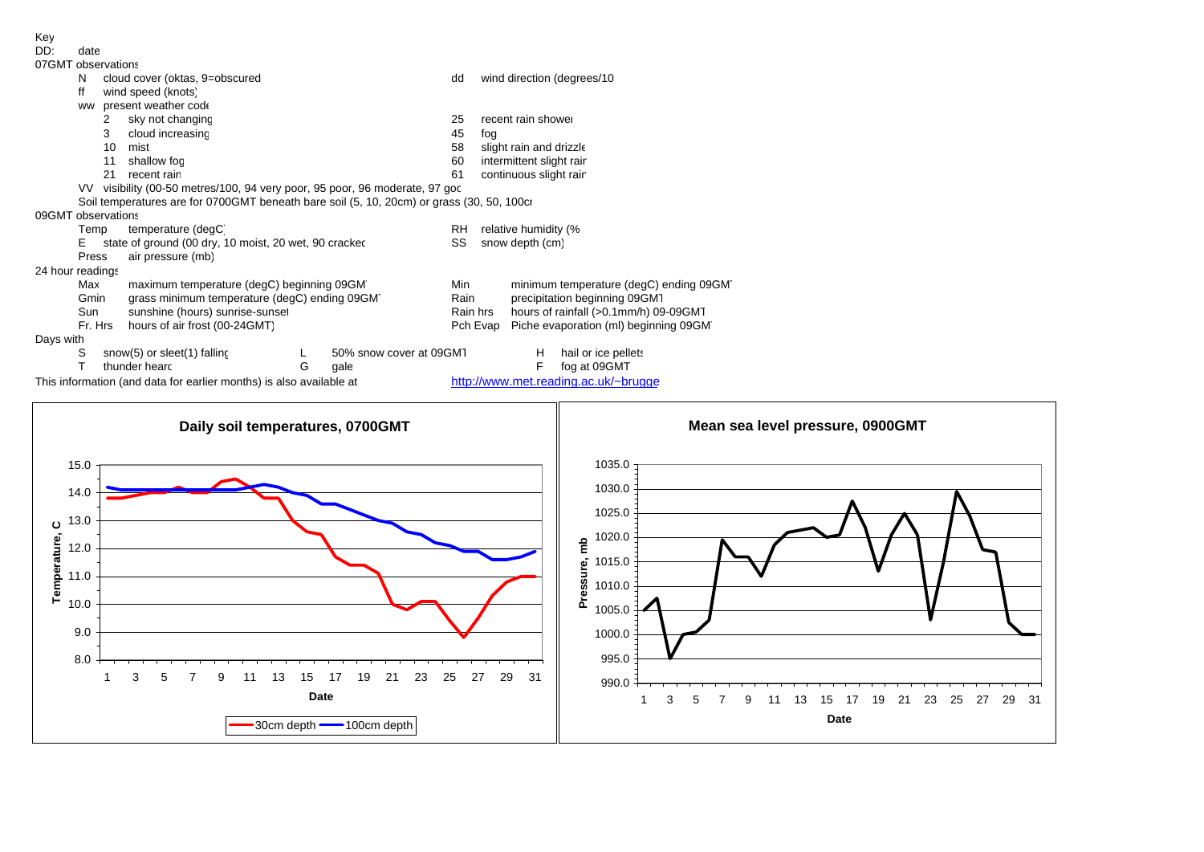## Key<br>DD:

| DD:                | date                                                 |    |                                                                                           |   |                         |           |                                                   |  |  |  |  |  |
|--------------------|------------------------------------------------------|----|-------------------------------------------------------------------------------------------|---|-------------------------|-----------|---------------------------------------------------|--|--|--|--|--|
| 07GMT observations |                                                      |    |                                                                                           |   |                         |           |                                                   |  |  |  |  |  |
|                    | N                                                    |    | cloud cover (oktas, 9=obscured                                                            |   |                         | dd        | wind direction (degrees/10                        |  |  |  |  |  |
|                    | ff                                                   |    | wind speed (knots)                                                                        |   |                         |           |                                                   |  |  |  |  |  |
|                    |                                                      |    | ww present weather code                                                                   |   |                         |           |                                                   |  |  |  |  |  |
|                    |                                                      | 2  | sky not changing                                                                          |   |                         | 25        | recent rain shower                                |  |  |  |  |  |
|                    |                                                      | 3  | cloud increasing                                                                          |   |                         | 45        | fog                                               |  |  |  |  |  |
|                    |                                                      | 10 | mist                                                                                      |   |                         | 58        | slight rain and drizzle                           |  |  |  |  |  |
|                    |                                                      | 11 | shallow fog                                                                               |   |                         | 60        | intermittent slight rair                          |  |  |  |  |  |
|                    |                                                      | 21 | recent rain                                                                               |   |                         | 61        | continuous slight rair                            |  |  |  |  |  |
|                    |                                                      |    | VV visibility (00-50 metres/100, 94 very poor, 95 poor, 96 moderate, 97 goc               |   |                         |           |                                                   |  |  |  |  |  |
|                    |                                                      |    | Soil temperatures are for 0700GMT beneath bare soil (5, 10, 20cm) or grass (30, 50, 100cr |   |                         |           |                                                   |  |  |  |  |  |
| 09GMT observations |                                                      |    |                                                                                           |   |                         |           |                                                   |  |  |  |  |  |
|                    | Temp                                                 |    | temperature (degC)                                                                        |   |                         | <b>RH</b> | relative humidity (%                              |  |  |  |  |  |
|                    | Е                                                    |    | state of ground (00 dry, 10 moist, 20 wet, 90 cracked                                     |   |                         | SS        | snow depth (cm)                                   |  |  |  |  |  |
|                    | Press                                                |    | air pressure (mb)                                                                         |   |                         |           |                                                   |  |  |  |  |  |
| 24 hour readings   |                                                      |    |                                                                                           |   |                         |           |                                                   |  |  |  |  |  |
|                    | Max                                                  |    | maximum temperature (degC) beginning 09GM                                                 |   |                         | Min       | minimum temperature (degC) ending 09GM            |  |  |  |  |  |
|                    | grass minimum temperature (degC) ending 09GM<br>Gmin |    |                                                                                           |   |                         | Rain      | precipitation beginning 09GM1                     |  |  |  |  |  |
|                    | Sun                                                  |    | sunshine (hours) sunrise-sunset                                                           |   |                         | Rain hrs  | hours of rainfall (>0.1mm/h) 09-09GM1             |  |  |  |  |  |
|                    | Fr. Hrs                                              |    | hours of air frost (00-24GMT)                                                             |   |                         |           | Piche evaporation (ml) beginning 09GM<br>Pch Evap |  |  |  |  |  |
| Days with          |                                                      |    |                                                                                           |   |                         |           |                                                   |  |  |  |  |  |
|                    | S                                                    |    | snow(5) or sleet(1) falling                                                               |   | 50% snow cover at 09GMT |           | hail or ice pellets<br>H                          |  |  |  |  |  |
|                    |                                                      |    | thunder hearc                                                                             | G | gale                    |           | F<br>fog at 09GMT                                 |  |  |  |  |  |

This information (and data for earlier months) is also available at http://www.met.reading.ac.uk/~brugge